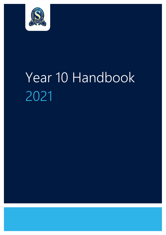

# Year 10 Handbook 2021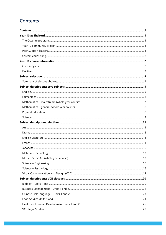# <span id="page-1-0"></span>**Contents**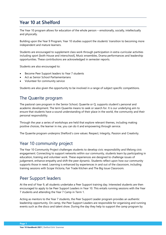# <span id="page-3-0"></span>**Year 10 at Shelford**

The Year 10 program allows for education of the whole person – emotionally, socially, intellectually and physically.

Building upon the Year 9 Program, Year 10 studies support the students' transition to becoming more independent and mature learners.

Students are encouraged to supplement class work through participation in extra-curricular activities including sport [both House and interschool], Music ensembles, Drama performances and leadership opportunities. These contributions are acknowledged in semester reports.

Students are also encouraged to:

- Become Peer Support leaders to Year 7 students
- Act as Senior School Parliamentarians
- Volunteer for community service

Students are also given the opportunity to be involved in a range of subject specific competitions.

# <span id="page-3-1"></span>The Quærite program

The pastoral care program in the Senior School, Quaerite or Q, supports student's personal and academic development. The term Quaerite means to seek or search for. It is our underlying aim to ensure that students have a sound understanding of their place in the world, the community and their personal responsibility.

Through the year a series of workshops are held that explore relevant themes, including making positive choices, the learner in me, you can do it and empowering through service.

The Quaerite program underpins Shelford's core values: Respect, Integrity, Passion and Creativity.

# <span id="page-3-2"></span>Year 10 community project

The Year 10 Community Project challenges students to develop civic responsibility and lifelong civic engagement. Connecting to support networks within our community, students learn by participating in education, training and volunteer work. These experiences are designed to challenge issues of judgement, enhance empathy and shift the peer dynamic. Students reflect upon how our community supports those in need. Learning is enhanced by experiences in and out of the classroom, including training sessions with Scope Victoria, Fair Trade Kitchen and The Big Issue Classroom.

# <span id="page-3-3"></span>Peer Support leaders

At the end of Year 9, all students undertake a Peer Support training day. Interested students are then encouraged to apply to be Peer Support Leaders in Year 10. This entails running sessions with the Year 7 students and attending the Year 7 Camp in Term 1.

Acting as mentors to the Year 7 students, the Peer Support Leader program provides an authentic leadership opportunity. On camp, the Peer Support Leaders are responsible for organising and running events such as the disco and talent show. During the day they help to support the camp program by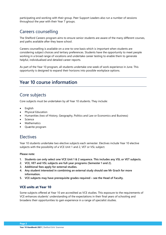participating and working with their group. Peer Support Leaders also run a number of sessions throughout the year with their Year 7 groups.

# <span id="page-4-0"></span>Careers counselling

The Shelford Careers program aims to ensure senior students are aware of the many different courses, and paths available after they leave school.

Careers counselling is available on a one-to-one basis which is important when students are considering subject choices and tertiary preferences. Students have the opportunity to meet people working in a broad range of vocations and undertake career testing to enable them to generate helpful, individualised and detailed career reports.

As part of the Year 10 program, all students undertake one week of work experience in June. This opportunity is designed to expand their horizons into possible workplace options.

# <span id="page-4-1"></span>**Year 10 course information**

# <span id="page-4-2"></span>Core subjects

Core subjects must be undertaken by all Year 10 students. They include:

- English
- Physical Education
- Humanities (two of History, Geography, Politics and Law or Economics and Business)
- Science
- Mathematics
- Quærite program

# <span id="page-4-3"></span>Electives

Year 10 students undertake two elective subjects each semester. Electives include Year 10 elective subjects with the possibility of a VCE Unit 1 and 2, VET or VSL subject.

**Please note:** 

- **1. Students can only select one VCE Unit 1 & 2 sequence. This includes any VSL or VET subjects.**
- **2. VCE, VET and VSL subjects are full-year programs (Semester 1 and 2).**
- **3. Additional fees apply for external studies.**
- **4. Any student interested in combining an external study should see Mr Grach for more information.**
- **5. VCE subjects may have prerequisite grades required – see the Head of Faculty.**

# **VCE units at Year 10**

Some subjects offered at Year 10 are accredited as VCE studies. This exposure to the requirements of VCE enhances students' understanding of the expectations in their final years of schooling and broadens their opportunities to gain experience in a range of specialist studies.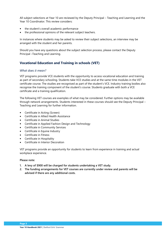All subject selections at Year 10 are reviewed by the Deputy Principal – Teaching and Learning and the Year 10 Coordinator. This review considers:

- the student's overall academic performance
- the professional opinions of the relevant subject teachers.

In instances where students may be asked to review their subject selections, an interview may be arranged with the student and her parents.

Should you have any questions about the subject selection process, please contact the Deputy Principal –Teaching and Learning.

# **Vocational Education and Training in schools (VET)**

## *What does it mean?*

VET programs provide VCE students with the opportunity to access vocational education and training as part of secondary schooling. Students take VCE studies and at the same time modules in the VET certificate course. The studies are recognised as part of the student's VCE. Industry training bodies also recognise the training component of the student's course. Students graduate with both a VCE certificate and a training qualification.

The following VET courses are examples of what may be considered. Further options may be available through network arrangements. Students interested in these courses should see the Deputy Principal – Teaching and Learning for further information.

- Certificate in Acting (Screen)
- Certificate in Allied Health Assistance
- Certificate in Animal Studies
- Certificate in Applied Fashion Design and Technology
- Certificate in Community Services
- Certificate in Equine Industry
- Certificate in Fitness
- Certificate in Hospitality
- Certificate in Interior Decoration

VET programs provide an opportunity for students to learn from experience in training and actual workplace experience.

#### **Please note:**

- **1. A levy of \$900 will be charged for students undertaking a VET study.**
- **2. The funding arrangements for VET courses are currently under review and parents will be advised if there are any additional costs.**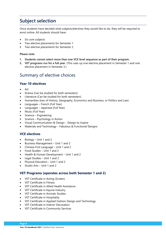# <span id="page-6-0"></span>**Subject selection**

Once students have decided what subjects/electives they would like to do, they will be required to enrol online. All students should have:

- Six core subjects
- Two elective placements for Semester 1
- Two elective placements for Semester 2

#### **Please note:**

- **1. Students cannot select more than one VCE level sequence as part of their program.**
- **2. VET programs run for a full year.** (This uses up one elective placement in Semester 1 and one elective placement in Semester 2.)

# <span id="page-6-1"></span>Summary of elective choices

# **Year 10 electives**

- Art
- Drama (Can be studied for both semesters)
- Literature (Can be studied for both semesters)
- Humanities (two of History, Geography, Economics and Business, or Politics and Law)
- Languages French (Full Year)
- Languages Japanese (Full Year)
- Music (Full Year)
- Science Engineering
- Science Psychology in Action
- Visual Communication & Design Design to Inspire
- Materials and Technology Fabulous & Functional Designs

# **VCE electives**

- Biology Unit 1 and 2
- Business Management Unit 1 and 2
- Chinese First Language Unit 1 and 2
- Food Studies Unit 1 and 2
- Health & Human Development Unit 1 and 2
- Legal Studies Unit 1 and 2
- Physical Education Unit 1 and 2
- Studio Arts Unit 1 and 2

# **VET Programs (operates across both Semester 1 and 2)**

- VET Certificate in Acting (Screen)
- VET Certificate in Fitness
- VET Certificate in Allied Health Assistance
- VET Certificate in Equine Industry
- VET Certificate in Animals Studies
- VET Certificate in Hospitality
- VET Certificate in Applied Fashion Design and Technology
- VET Certificate in Interior Decoration
- VET Certificate in Community Services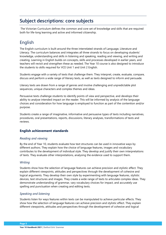# <span id="page-7-0"></span>**Subject descriptions: core subjects**

The Victorian Curriculum defines the common and core set of knowledge and skills that are required both for life-long learning and active and informed citizenship.

# <span id="page-7-1"></span>English

The English curriculum is built around the three interrelated strands of Language, Literature and Literacy. The curriculum balances and integrates all three strands to focus on developing students' knowledge, understanding and skills in listening and speaking, reading and viewing, and writing and creating. Learning in English builds on concepts, skills and processes developed in earlier years, and teachers will revisit and strengthen these as needed. The Year 10 course is also designed to introduce the students to skills required for VCE Unit 1 and Unit 2 English.

Students engage with a variety of texts that challenge them. They interpret, create, evaluate, compare, discuss and perform a wide range of literary texts, as well as texts designed to inform and persuade.

Literary texts are drawn from a range of genres and involve challenging and unpredictable plot sequences, unique characters and complex themes and ideas.

Persuasive texts challenge students to identify points of view and perspective, and develops their ability to analyse intended impact on the reader. This will be informed by analysis of the language choices and consideration for how language is employed to function as part of the contention and/or purpose.

Students create a range of imaginative, informative and persuasive types of texts including narratives, procedures, oral presentations, reports, discussions, literary analyses, transformations of texts and reviews.

# **English achievement standards**

# *Reading and viewing*

By the end of Year 10, students evaluate how text structures can be used in innovative ways by different authors. They explain how the choice of language features, images and vocabulary contributes to the development of individual style. They develop and justify their own interpretations of texts. They evaluate other interpretations, analysing the evidence used to support them.

# *Writing*

Students show how the selection of language features can achieve precision and stylistic effect. They explain different viewpoints, attitudes and perspectives through the development of cohesive and logical arguments. They develop their own style by experimenting with language features, stylistic devices, text structures and images. They create a wide range of texts to articulate complex ideas. They demonstrate understanding of grammar, vary vocabulary choices for impact, and accurately use spelling and punctuation when creating and editing texts.

# *Speaking and listening*

Students listen for ways features within texts can be manipulated to achieve particular effects. They show how the selection of language features can achieve precision and stylistic effect. They explain different viewpoints, attitudes and perspectives through the development of cohesive and logical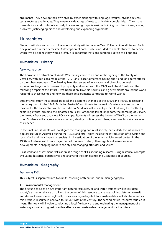arguments. They develop their own style by experimenting with language features, stylistic devices, text structures and images. They create a wide range of texts to articulate complex ideas. They make presentations and contribute actively to class and group discussions building on others' ideas, solving problems, justifying opinions and developing and expanding arguments.

# <span id="page-8-0"></span>**Humanities**

Students will choose two discipline areas to study within the core Year 10 Humanities allotment. Each discipline will run for a semester. A description of each study is included to enable students to decide which two disciplines they would prefer. It is important that consideration is given to all options.

# **Humanities – History**

# *New world order*

The horror and destruction of World War I finally came to an end at the signing of the Treaty of Versailles, with decisions made at the 1919 Paris Peace Conference having short and long‐term effects on the subsequent years. The Roaring Twenties, an era of innovation and changing cultural expressions, began with dreams of prosperity and ended with the 1929 Wall Street Crash, and the following despair of the 1930s Great Depression. How did societies and governments around the world respond to these events and how did these developments contribute to World War II?

Students will study these social, political and economic changes of the 1920s and 1930s. In assessing the background to the 1942 'Battle for Australia' and threats to the nation's safety, a focus on the reasons for the Pacific War will be undertaken. Students will assess Japan's role during the conflict by exploring events including the air attack on Pearl Harbor, the fall of Singapore, the bombing of Darwin, the Kokoda Track and Japanese POW camps. Students will assess the impact of WWII on the home front. Students will analyse cause and effect, identify continuity and change and use historical sources as evidence.

In the final unit, students will investigate the changing nature of society, particularly the influences of popular culture in Australia during the 1950s and 60s. Topics include the introduction of television and rock 'n' roll and their impact on society. An investigation of the issues which caused protest in the 1960s in Australia will form a major part of this area of study. How significant were overseas developments in shaping modern society and changing attitudes and values?

Class work and assessment tasks address a range of skills, including research, using historical concepts, evaluating historical perspectives and analysing the significance and usefulness of sources.

# **Humanities – Geography**

# *Human vs Wild*

This subject is separated into two units, covering both natural and human geography.

#### **1. Environmental management**

The first unit focuses on two important natural resources, oil and water. Students will investigate society's extreme reliance on oil and the power of this resource to change politics, determine wealth and destruct environments globally. Questions regarding its future sustainability will also be raised as this precious resource is believed to run out within the century. The second natural resource studied is rivers. This topic will involve conducting a local fieldwork trip and evaluating the management of a waterway as well as suggest possible effective and sustainable management for the future.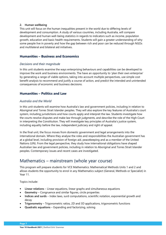#### **2. Human wellbeing**

This unit will focus on the human inequalities present in the world due to differing levels of development and consumption. A study of various countries, including Australia, will compare development and human well-being statistics in regards to indicators such as income, population growth, education and basic health requirements. Students will gain a greater understanding of why some people live in poverty and how the gap between rich and poor can be reduced through NGOs and multilateral and bilateral aid initiatives.

# **Humanities – Business and Economics**

# *Decisions and their magnitude*

In this unit students examine the ways enterprising behaviours and capabilities can be developed to improve the work and business environments. The have an opportunity to 'plan their own enterprise' by generating a range of viable options, taking into account multiple perspectives, use simple cost benefit analysis to recommend and justify a course of action, and predict the intended and unintended consequences of economic and business decisions.

# **Humanities – Politics and Law**

# *Australia and the World*

In this unit students will examine how Australia's law and government policies, including in relation to Aboriginal and Torres Strait Islander peoples. They will also explore the key features of Australia's court system, including jurisdictions and how courts apply and interpret the law. Students investigate how the courts resolve disputes and make law through judgments, and describe the role of the High Court in interpreting the Constitution. They will investigate key principles of Australia's justice system, including equality before the law, independent judiciary and right of appeal.

In the final unit, the focus moves from domestic government and legal arrangements into the international domain. Where they analyse the roles and responsibilities the Australian government has at a global level, including provision of foreign aid, peacekeeping and as a member of the United Nations (UN). From the legal perspective, they study how international obligations have shaped Australian law and government policies, including in relation to Aboriginal and Torres Strait Islander peoples. Contemporary issues and recent cases are investigated.

# <span id="page-9-0"></span>Mathematics – mainstream (whole year course)

This program will prepare students for VCE Mathematics: Mathematical Methods Units 1 and 2 and allows students the opportunity to enrol in any Mathematics subject (General, Methods or Specialist) in Year 11.

Topics include:

- **Linear relations** Linear equations, linear graphs and simultaneous equations
- **Geometry** Congruence and similar figures, circle properties
- **Indices and surds** Index laws, surd computations, scientific notation, exponential growth and decay
- **Trigonometry** Trigonometric ratios, 2D and 3D applications, trigonometric functions
- **Quadratic equations** Expanding and factorizing, solving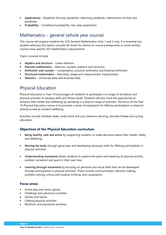- **Applications** Quadratic formula, parabolas, sketching parabolas, intersections of lines and parabolas
- **Probability** Conditional probability, two-step experiment

# <span id="page-10-0"></span>Mathematics – general (whole year course)

This course will prepare students for VCE General Mathematics Units 1 and 2 only. It is essential any student selecting this option consults Mr Grach for advice on course prerequisites as some tertiary courses have specific VCE Mathematics requirements.

Topics covered include:

- **Algebra and structure** Linear relations
- **Discrete mathematics** Matrices, number patterns and recursion
- **Arithmetic and number** Computation, practical arithmetic and financial arithmetic
- **Structural mathematics** Geometry, shape and measurement, trigonometry
- **Statistics** Univariate data and bivariate data.

# <span id="page-10-1"></span>Physical Education

Physical Education in Year 10 encourages all students to participate in a range of recreation and physical activities to develop skills and fitness levels. Students will also have the opportunity to enhance their health and wellbeing by partaking in a diverse range of activities. The focus of the Year 10 Physical Education course is to promote a sense of enjoyment for lifetime participation in physical activity as well as student wellbeing.

Activities include; football codes, body mind and soul, ballroom dancing, ultimate frisbee and cycling education.

# **Objectives of the Physical Education curriculum**

- **Being healthy, safe and active** by supporting students to make decisions about their health, safety and wellbeing.
- **Moving the body** through game play and developing necessary skills for lifelong participation in physical activities.
- **Understanding movement** allows students to explore the place and meaning of physical activity, outdoor recreation and sport in their own lives.
- **Learning through movement** by focusing on personal and social skills that can be developed through participation in physical activities. These include communication, decision making, problem-solving, critical and creative thinking, and cooperation.

# **Focus areas**

- Active play and minor games
- Challenge and adventure activities
- Games and Sports
- Lifelong physical activities
- Rhythmic and expressive activities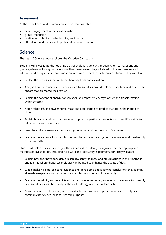# **Assessment**

At the end of each unit, students must have demonstrated:

- active engagement within class activities
- group interaction
- positive contribution to the learning environment
- attendance and readiness to participate in correct uniform.

# <span id="page-11-0"></span>Science

The Year 10 Science course follows the Victorian Curriculum.

Students will investigate the key principles of evolution, genetics, motion, chemical reactions and global systems including our position within the universe. They will develop the skills necessary to interpret and critique data from various sources with respect to each concept studied. They will also:

- Explain the processes that underpin heredity traits and evolution.
- Analyse how the models and theories used by scientists have developed over time and discuss the factors that prompted their review.
- Explain the concept of energy conservation and represent energy transfer and transformation within systems.
- Apply relationships between force, mass and acceleration to predict changes in the motion of objects.
- Explain how chemical reactions are used to produce particular products and how different factors influence the rate of reactions.
- Describe and analyse interactions and cycles within and between Earth's spheres.
- Evaluate the evidence for scientific theories that explain the origin of the universe and the diversity of life on Earth.

Students develop questions and hypotheses and independently design and improve appropriate methods of investigation, including field work and laboratory experimentation. They will also:

- Explain how they have considered reliability, safety, fairness and ethical actions in their methods and identify where digital technologies can be used to enhance the quality of data
- When analysing data, selecting evidence and developing and justifying conclusions, they identify alternative explanations for findings and explain any sources of uncertainty
- Evaluate the validity and reliability of claims made in secondary sources with reference to currently held scientific views, the quality of the methodology and the evidence cited
- Construct evidence-based arguments and select appropriate representations and text types to communicate science ideas for specific purposes.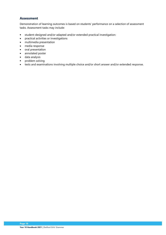# **Assessment**

Demonstration of learning outcomes is based on students' performance on a selection of assessment tasks. Assessment tasks may include:

- student-designed and/or adapted and/or extended practical investigation:
- practical activities or investigations
- multimedia presentation
- media response
- oral presentation
- annotated poster
- data analysis
- problem solving
- tests and examinations involving multiple choice and/or short answer and/or extended response.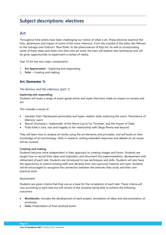# <span id="page-13-0"></span>**Subject descriptions: electives**

# <span id="page-13-1"></span>Art

Throughout time artists have been challenging our notion of what is art. These electives examine the lives, adventures and impact of some of the more infamous. From the scandal of the Salon des Refuses to the outrage over Pollock's 'Blue Poles' to the phenomenon of Pop Art. As well as incorporating some of these ideas and styles into their own art work, the class will explore new techniques and will be given opportunities to experiment a variety of media.

Year 10 Art has two major components:

- 1. **Art Appreciation** Exploring and responding
- 2. **Folio** Creating and making

# **Art (Semester 1)**

# *The famous and the infamous (part 1)*

## **Exploring and responding**

Students will study a range of avant-garde artists and styles that have made an impact on society and Art.

This includes a study of:

- Salvador Dali's flamboyant personality and hyper-realistic style, exploring the iconic 'Persistence of Memory' paint
- Marcel Duchamp's 'readymade' of the Mona Lisa to his 'Fountain' and the impact of Dada
- Frida Kahlo's love, loss and tragedy to her relationship with Diego Rivera and beyond.

They will learn how to analyse art works using the art elements and principles, and will build on their knowledge of art terminology. Skills in research, writing extended responses and debate on art issues, will be covered.

#### **Creating and making**

Students become more independent in their approach to creating images and forms. Students are taught how to record their ideas and inspiration and document the experimentation, development and refinement of each task. Students are introduced to new techniques and skills. Students will also have the opportunity to extend existing skills and develop their own personal interests and style. Students will be encouraged to recognise the connection between the artworks they study and their own practical work.

# *Assessment*

Students are given criteria that they use as a base for the completion of each task. These criteria will vary according to each task but will consist of the students being able to achieve the following outcomes:

- **Workbooks:** Includes the development of each project, annotation of ideas and documentation of processes
- **Folio:** Presentation of final resolved works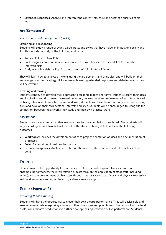• **Extended responses:** Analyse and interpret the content, structure and aesthetic qualities of art work

# **Art (Semester 2)**

#### *The Famous and the infamous (part 2)*

#### **Exploring and responding**

Students will study a range of avant-garde artists and styles that have made an impact on society and Art. This includes a study of the following and more:

- Jackson Pollock's 'Blue Poles'
- Paul Gaugain's bold colour and Fauvism and the Wild Beasts to the scandal of the French Impressionists
- Andy Warhol's celebrity, Pop Art, the concept of '15 minutes of fame'.

They will learn how to analyse art works using the art elements and principles, and will build on their knowledge of art terminology. Skills in research, writing extended responses and debate on art issues, will be covered.

#### **Creating and making**

Students continue to develop their approach to creating images and forms. Students record their ideas and inspiration and document the experimentation, development and refinement of each task. As well as being introduced to new techniques and skills, students will have the opportunity to extend existing skills and develop their own personal interests and style. Students will be encouraged to recognise the connection between the artworks they study and their own practical work.

#### *Assessment*

Students are given criteria that they use as a base for the completion of each task. These criteria will vary according to each task but will consist of the students being able to achieve the following outcomes:

- **Workbooks:** Includes the development of each project, annotation of ideas and documentation of processes
- **Folio:** Presentation of final resolved works
- **Extended responses:** Analyse and interpret the content, structure and aesthetic qualities of art work.

# <span id="page-14-0"></span>Drama

Drama provides the opportunity for students to explore the skills required to devise solo and ensemble performances, the interpretation of texts through the application of stagecraft (including acting), and the development of characters through improvisation, use of vocal and physical expressive skills and an understanding of the actor/audience relationship.

# **Drama (Semester 1)**

#### *Exploring theatre making*

Students will have the opportunity to create their own theatre performance. They will devise solo and ensemble works while exploring a variety of theatrical styles and practitioners. Students will also attend professional theatre productions to further develop their appreciation of live performance. Students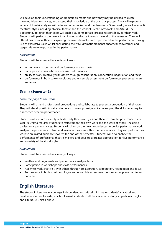will develop their understanding of dramatic elements and how they may be utilised to create meaningful performances, and extend their knowledge of the dramatic process. They will explore a variety of theatrical styles, with a focus on naturalism and the theories of Stanislavski, as well as eclectic theatrical styles including physical theatre and the work of Brecht, Grotowski and Artaud. The opportunity to direct their peers will enable students to take greater responsibility for their work. Students will perform their work to an invited audience towards the end of the semester. They will attend professional theatre, exploring the ways characters are represented in the performance through use of expressive skills whilst considering the ways dramatic elements, theatrical conventions and stagecraft are manipulated in the performance.

## *Assessment*

Students will be assessed in a variety of ways:

- written work in journals and performance analysis tasks
- participation in workshops and class performances
- ability to work creatively with others through collaboration, cooperation, negotiation and focus
- performance in both solo/monologue and ensemble assessment performances presented to an audience.

# **Drama (Semester 2)**

#### *From the page to the stage*

Students will attend professional productions and collaborate to present a production of their own. They will develop skills in set, costume and make-up design while developing the skills necessary to direct each other in performance.

Students will explore a variety of texts, early theatrical styles and theatre from the post-modern era. Year 10 Drama requires students to reflect upon their own work and the work of others, including professional performances. Students will draw on their own experiences to devise performance work, analyse the processes involved and evaluate their role within the performance. They will perform their work to an invited audience towards the end of the semester. Students will also analyse the performance of professional theatre-makers, and develop a greater appreciation for live performance and a variety of theatrical styles.

#### *Assessment*

Students will be assessed in a variety of ways:

- Written work in journals and performance analysis tasks
- Participation in workshops and class performances
- Ability to work creatively with others through collaboration, cooperation, negotiation and focus.
- Performance in both solo/monologue and ensemble assessment performances presented to an audience.

# <span id="page-15-0"></span>English Literature

The study of Literature encourages independent and critical thinking in students' analytical and creative responses to texts, which will assist students in all their academic study, in particular English and Literature Units 1 and 2.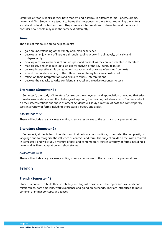Literature at Year 10 looks at texts both modern and classical, in different forms – poetry, drama, novels and film. Students are taught to frame their responses to these texts, examining the writer's social and cultural context and craft. They compare interpretations of characters and themes and consider how people may read the same text differently.

## **Aims**

The aims of this course are to help students:

- gain an understanding of the variety of human experience
- develop an enjoyment of literature through reading widely, imaginatively, critically and independently
- develop a critical awareness of cultures past and present, as they are represented in literature
- read closely and engage in detailed critical analysis of the key literary features
- develop interpretive skills by hypothesising about and drawing inferences from texts
- extend their understanding of the different ways literary texts are constructed
- reflect on their interpretations and evaluate others' interpretations
- develop the capacity to write confident analytical and creative responses to texts.

# **Literature (Semester 1)**

In Semester 1, the study of Literature focuses on the enjoyment and appreciation of reading that arises from discussion, debate and the challenge of exploring the meanings of literary texts. Students reflect on their interpretations and those of others. Students will study a mixture of past and contemporary texts in a variety of forms including short stories, poetry and a play.

#### *Assessment tasks*

These will include analytical essay writing, creative responses to the texts and oral presentations.

# **Literature (Semester 2)**

In Semester 2, students learn to understand that texts are constructions, to consider the complexity of language and to recognise the influence of contexts and form. The subject builds on the skills acquired in Semester 1 and will study a mixture of past and contemporary texts in a variety of forms including a novel and its filmic adaptation and short stories.

#### *Assessment tasks*

These will include analytical essay writing, creative responses to the texts and oral presentations.

# <span id="page-16-0"></span>French

# **French (Semester 1)**

Students continue to build their vocabulary and linguistic base related to topics such as family and relationships, part-time jobs, work experience and going on exchange. They are introduced to more complex grammar concepts and tenses.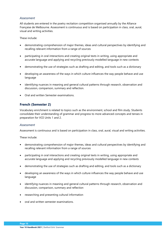## *Assessment*

All students are entered in the poetry recitation competition organised annually by the Alliance Française de Melbourne. Assessment is continuous and is based on participation in class, oral, aural, visual and writing activities.

These include:

- demonstrating comprehension of major themes, ideas and cultural perspectives by identifying and recalling relevant information from a range of sources
- participating in oral interactions and creating original texts in writing, using appropriate and accurate language and applying and recycling previously modelled language in new contexts
- demonstrating the use of strategies such as drafting and editing, and tools such as a dictionary
- developing an awareness of the ways in which culture influences the way people behave and use language
- identifying nuances in meaning and general cultural patterns through research, observation and discussion, comparison, summary and reflection.
- Oral and written Semester examinations.

# **French (Semester 2)**

Vocabulary enrichment is related to topics such as the environment, school and film study. Students consolidate their understanding of grammar and progress to more advanced concepts and tenses in preparation for VCE Units 1 and 2.

#### *Assessment*

Assessment is continuous and is based on participation in class, oral, aural, visual and writing activities.

These include:

- demonstrating comprehension of major themes, ideas and cultural perspectives by identifying and recalling relevant information from a range of sources
- participating in oral interactions and creating original texts in writing, using appropriate and accurate language and applying and recycling previously modelled language in new contexts
- demonstrating the use of strategies such as drafting and editing, and tools such as a dictionary
- developing an awareness of the ways in which culture influences the way people behave and use language
- identifying nuances in meaning and general cultural patterns through research, observation and discussion, comparison, summary and reflection
- researching and presenting cultural information
- oral and written semester examinations.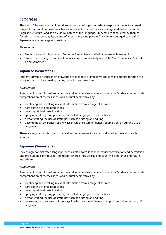# <span id="page-18-0"></span>Japanese

The Year 10 Japanese curriculum utilises a number of topics in order to expose students to a broad range of oral, aural and written activities which will enhance their knowledge and awareness of the linguistic structures and socio-cultural nature of the language. Students are stimulated by themes focusing on modern-day Japan and of interest to young people. They are encouraged to use their Japanese in a wide range of situations.

Please note:

- Students selecting Japanese in Semester 2 must have studied Japanese in Semester 1.
- Students intending to study VCE Japanese must successfully complete Year 10 Japanese Semester 1 and Semester 2.

# **Japanese (Semester 1)**

Students develop further their knowledge of Japanese grammar, vocabulary and culture through the study of such topics as eating habits, shopping and free time.

## *Assessment*

Assessment is both formal and informal and incorporates a variety of methods. Students demonstrate comprehension of themes, ideas and cultural perspectives by:

- identifying and recalling relevant information from a range of sources
- participating in oral interactions
- creating original texts in writing
- applying and recycling previously modelled language in new contexts
- demonstrating the use of strategies such as drafting and editing
- developing an awareness of the ways in which culture influences people's behaviour and use of language.

There are regular unit tests and oral and written examinations are conducted at the end of each semester.

# **Japanese (Semester 2)**

Increasingly sophisticated language, such as plain form Japanese, casual conversation and permission and prohibition is introduced. The topics covered include: city and country, school trips and future aspirations.

# *Assessment*

Assessment is both formal and informal and incorporates a variety of methods. Students demonstrate comprehension of themes, ideas and cultural perspectives by:

- identifying and recalling relevant information from a range of sources
- participating in oral interactions
- creating original texts in writing
- applying and recycling previously modelled language in new contexts
- demonstrating the use of strategies such as drafting and editing
- developing an awareness of the ways in which culture influences people's behaviour and use of language.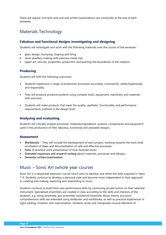There are regular unit tests and oral and written examinations are conducted at the end of each semester.

# <span id="page-19-0"></span>Materials Technology

# **Fabulous and functional designs investigating and designing**

Students will investigate and work with the following materials over the course of the semester:

- glass design: slumping, shaping and firing
- silver jewellery making with precious metal clay
- paper art: sources, properties, production and pushing the boundaries of the medium.

# **Producing**

Students will fulfil the following outcomes:

- Students implement a range of production processes accurately, consistently, safely/hygienically and responsibly.
- They will produce products/systems using complex tools, equipment, machinery and materials with precision.
- Students will make products that meet the quality, aesthetic, functionality and performance requirements outlined in the design brief.

# **Analysing and evaluating**

Students will critically analyse processes, materials/ingredients, systems, components and equipment used in the production of their fabulous, functional and wearable designs.

# **Assessment**

- **Workbooks** They will include the development of each project, working towards the work brief, annotation of ideas and documentation of safe and effective processes
- **Folio** of practical work presentation of final resolved works
- **Extended responses and research writing** about materials, processes and designs
- **Semester written examination**

# <span id="page-19-1"></span>Music – Sonic Art (whole year course)

Sonic Art is a sequential extension course which aims to develop and refine the skills acquired in Years 7–9. Students continue to develop a personal style and become more independent in their approach to creating and making, exploring and responding to music.

Students continue to build their solo performance skills by continuing private tuition on their selected instrument. Specialised ensembles are created in class according to the skills and interests of the students, e.g. string ensemble, jazz ensemble, woodwind ensemble. Music theory and aural comprehension skills are extended using textbooks and workbooks, as well as practical experiences in sight reading, imitation and improvisation. Students study and manipulate musical elements to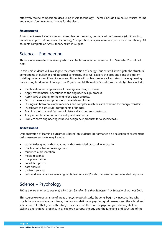effectively realise composition ideas using music technology. Themes include film music, musical forms and student 'commissioned' works for the class.

# **Assessment**

Assessment areas include solo and ensemble performance, unprepared performance (sight reading, imitation, improvisation), music technology/composition, analysis, aural comprehension and theory. All students complete an AMEB theory exam in August.

# <span id="page-20-0"></span>Science – Engineering

This is a one semester course only which can be taken in either Semester 1 or Semester 2 – but not both.

In this unit students will investigate the conservation of energy. Students will investigate the structural components of buildings and industrial constructs. They will explore the pros and cons of different building materials in different scenarios. Students will problem solve civil and structural engineering issues using fundamental principles of Physics and Mathematics. Specific skills and objectives include:

- Identification and application of the engineer design process.
- Apply mathematical operations to the engineer design process.
- Apply laws of energy to the engineer design process.
- Discuss the relationship between materials and forces.
- Distinguish between simple machines and complex machines and examine the energy transfers.
- Investigate the structural components of bridges.
- Examine the structural features of historical and current constructs.
- Analyse combination of functionality and aesthetics.
- Problem solve engineering issues to design new products for a specific task.

# **Assessment**

Demonstration of learning outcomes is based on students' performance on a selection of assessment tasks. Assessment tasks may include:

- student-designed and/or adapted and/or extended practical investigation
- practical activities or investigations
- multimedia presentation
- media response
- oral presentation
- annotated poster
- data analysis
- problem solving
- tests and examinations involving multiple choice and/or short answer and/or extended response.

# <span id="page-20-1"></span>Science – Psychology

*This is a one semester course only which can be taken in either Semester 1 or Semester 2, but not both.* 

This course explores a range of areas of psychological study. Students begin by investigating why psychology is considered a science, the key foundations of psychological research and the ethical and safety principles that govern the study. They focus on the forensic psychology including stalkers, stalking and criminal profiling. They explore neuropsychology and the functions and structure of the

**Page 18**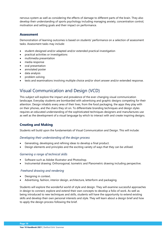nervous system as well as considering the effects of damage to different parts of the brain. They also develop their understanding of sports psychology including managing anxiety, concentration control, motivation and setting goals and their impact on performance.

# **Assessment**

Demonstration of learning outcomes is based on students' performance on a selection of assessment tasks. Assessment tasks may include:

- student-designed and/or adapted and/or extended practical investigation
- practical activities or investigations
- multimedia presentation
- media response
- oral presentation
- annotated poster
- data analysis
- problem solving
- tests and examinations involving multiple choice and/or short answer and/or extended response.

# <span id="page-21-0"></span>Visual Communication and Design (VCD)

This subject will explore the impact and prevalence of the ever-changing visual communication landscape. Everyday students are bombarded with advertising and graphic designs competing for their attention. Design inhabits every area of their lives, from the food packaging, the apps they play with on their phones, and the chairs they sit on. To differentiate branding techniques and design styles requires an educated understanding of the sophisticated techniques designers and manufactures use as well as the development of a visual language by which to interact with and create inspiring designs.

# **Creating and Making**

Students will build upon the fundamentals of Visual Communication and Design. This will include:

# *Developing their understanding of the design process*

- Generating, developing and refining ideas to develop a final product.
- Design elements and principles and the exciting variety of ways that they can be utilised.

# *Garnering a range of technical skills*

- Software such as Adobe Illustrator and Photoshop.
- Instrumental drawing: Orthonogonal, Isometric and Planometric drawing including perspective.

# *Freehand drawing and rendering*

- Designing in context.
- Advertising, fashion, interior design, architecture, letterform and packaging.

Students will explore the wonderful world of style and design. They will examine successful approaches in design to connect, explore and extend their own concepts to develop a folio of work. As well as being introduced to new techniques and skills, students will have the opportunity to extend existing skills and develop their own personal interests and style. They will learn about a design brief and how to apply the design process following the brief.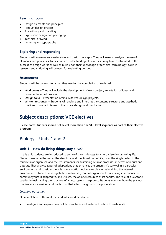# **Learning focus**

- Design elements and principles
- Product design process
- Advertising and branding
- Ergonomic design and packaging
- Technical drawing
- Lettering and typography

# **Exploring and responding**

Students will examine successful style and design concepts. They will learn to analyse the use of elements and principles, to develop an understanding of how these may have contributed to the success of design works as well as build upon their knowledge of technical terminology. Skills in research and critiquing will be used for evaluating designs.

# **Assessment**

Students will be given criteria that they use for the completion of each task.

- **Workbooks** They will include the development of each project, annotation of ideas and documentation of process.
- **Design folio** Presentation of final resolved design projects.
- **Written responses** Students will analyse and interpret the content, structure and aesthetic qualities of works in terms of their style, design and production.

# <span id="page-22-0"></span>**Subject descriptions: VCE electives**

**Please note: Students should not select more than one VCE level sequence as part of their elective program.** 

# <span id="page-22-1"></span>Biology – Units 1 and 2

# **Unit 1 – How do living things stay alive?**

In this unit students are introduced to some of the challenges to an organism in sustaining life. Students examine the cell as the structural and functional unit of life, from the single celled to the multicellular organism, and the requirements for sustaining cellular processes in terms of inputs and outputs. They analyse types of adaptations that enhances the organism's survival in a particular environment and consider the role homeostatic mechanisms play in maintaining the internal environment. Students investigate how a diverse group of organisms form a living interconnected community that is adapted to, and utilises, the abiotic resources of its habitat. The role of a keystone species in maintaining the structure of an ecosystem is explored. Students consider how the planet's biodiversity is classified and the factors that affect the growth of a population.

#### *Learning outcomes*

On completion of this unit the student should be able to:

• Investigate and explain how cellular structures and systems function to sustain life.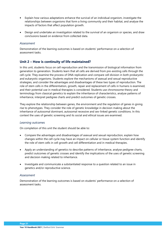- Explain how various adaptations enhance the survival of an individual organism, investigate the relationships between organisms that form a living community and their habitat, and analyse the impacts of factors that affect population growth.
- Design and undertake an investigation related to the survival of an organism or species, and draw conclusions based on evidence from collected data.

#### *Assessment*

Demonstration of the learning outcomes is based on students' performance on a selection of assessment tasks.

# **Unit 2 – How is continuity of life maintained?**

In this unit, students focus on cell reproduction and the transmission of biological information from generation to generation. Students learn that all cells are derived from pre-existing cells through the cell cycle. They examine the process of DNA replication and compare cell division in both prokaryotic and eukaryotic organisms. Students explore the mechanisms of asexual and sexual reproductive strategies, and consider the advantages and disadvantages of these two types of reproduction. The role of stem cells in the differentiation, growth, repair and replacement of cells in humans is examined, and their potential use in medical therapies is considered. Students use chromosome theory and terminology from classical genetics to explain the inheritance of characteristics, analyse patterns of inheritance, interpret pedigree charts and predict outcomes of genetic crosses.

They explore the relationship between genes, the environment and the regulation of genes in giving rise to phenotypes. They consider the role of genetic knowledge in decision making about the inheritance of autosomal dominant, autosomal recessive and sex-linked genetic conditions. In this context the uses of genetic screening and its social and ethical issues are examined.

#### *Learning outcomes*

On completion of this unit the student should be able to:

- Compare the advantages and disadvantages of asexual and sexual reproduction, explain how changes within the cell cycle may have an impact on cellular or tissue system function and identify the role of stem cells in cell growth and cell differentiation and in medical therapies.
- Apply an understanding of genetics to describe patterns of inheritance, analyse pedigree charts, predict outcomes of genetic crosses and identify the implications of the uses of genetic screening and decision making related to inheritance.
- Investigate and communicate a substantiated response to a question related to an issue in genetics and/or reproductive science.

#### *Assessment*

Demonstration of the learning outcomes is based on students' performance on a selection of assessment tasks.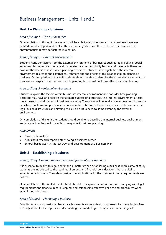# <span id="page-24-0"></span>Business Management – Units 1 and 2

# **Unit 1 – Planning a business**

## *Area of Study 1 – The business idea*

On completion of this unit, the students will be able to describe how and why business ideas are created and developed, and explain the methods by which a culture of business innovation and entrepreneurship may be fostered in a nation.

## *Area of Study 2 – External environment*

Students consider factors from the external environment of businesses such as legal, political, social, economic, technological, global and corporate social responsibility factors and the effects these may have on the decisions made when planning a business. Students investigate how the internal environment relates to the external environment and the effects of this relationship on planning a business. On completion of this unit students should be able to describe the external environment of a business and explain how the macro and operating factors within it may affect business planning.

## *Area of Study 3 – Internal environment*

Students explore the factors within businesses internal environment and consider how planning decisions may have an effect on the ultimate success of a business. The internal environment affects the approach to and success of business planning. The owner will generally have more control over the activities, functions and pressures that occur within a business. These factors, such as business models, legal business structures and staffing, will also be influenced to some extent by the external environment.

On completion of this unit the student should be able to describe the internal business environment and analyse how factors from within it may affect business planning.

#### *Assessment*

- Case study analysis
- A business research report (interviewing a business owner)
- School-based activity (Market Day) and development of a Business Plan

# **Unit 2 – Establishing a business**

#### *Area of Study 1 – Legal requirements and financial considerations*

It is essential to deal with legal and financial matters when establishing a business. In this area of study students are introduced to the legal requirements and financial considerations that are vital to establishing a business. They also consider the implications for the business if these requirements are not met.

On completion of this unit students should be able to explain the importance of complying with legal requirements and financial record keeping, and establishing effective policies and procedures when establishing a business.

#### *Area of Study 2 – Marketing a business*

Establishing a strong customer base for a business is an important component of success. In this Area of Study students develop their understanding that marketing encompasses a wide range of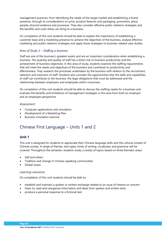management practices, from identifying the needs of the target market and establishing a brand presence, through to considerations on price, product features and packaging, promotion, place, people, physical evidence and processes. They also consider effective public relations strategies and the benefits and costs these can bring to a business.

On completion of this unit students should be able to explain the importance of establishing a customer base and a marketing presence to achieve the objectives of the business, analyse effective marketing and public relations strategies and apply these strategies to business-related case studies.

# *Area of Study 3 – Staffing a business*

Staff are one of the business's greatest assets and are an important consideration when establishing a business. The quantity and quality of staff has a direct link to business productivity and the achievement of business objectives. In this area of study, students examine the staffing requirements that will meet the needs and objectives of the business and contribute to productivity and effectiveness. They research the processes undertaken by the business with relation to the recruitment, selection and induction of staff. Students also consider the opportunities that the skills and capabilities of staff can contribute to the business, the legal obligations that must be addressed and the relationship between employers and employees within a business.

On completion of this unit students should be able to discuss the staffing needs for a business and evaluate the benefits and limitations of management strategies in this area from both an employer and an employee perspective.

#### *Assessment*

- Computer applications and simulation
- Development of a Marketing Plan
- Business simulation exercise

# <span id="page-25-0"></span>Chinese First Language – Units 1 and 2

# **Unit 1**

This unit is designed for students to appreciate their Chinese language skills and the cultural context of Chinese society. A range of themes, text types, kinds of writing, vocabulary and grammar will be covered. Throughout the semester, students study a variety of topics based on three thematic areas:

- Self and others
- Tradition and change in Chinese-speaking communities
- Global issues

# *Learning outcomes*

On completion of this unit students should be able to:

- establish and maintain a spoken or written exchange related to an issue of interest or concern
- listen to, read and reorganise information and ideas from spoken and written texts
- produce a personal response to a fictional text.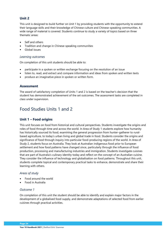# **Unit 2**

This unit is designed to build further on Unit 1 by providing students with the opportunity to extend their language skills and their knowledge of Chinese culture and Chinese-speaking communities. A wide range of material is covered. Students continue to study a variety of topics based on three thematic areas:

- Self and others
- Tradition and change in Chinese-speaking communities
- Global issues

## *Learning outcomes*

On completion of this unit students should be able to:

- participate in a spoken or written exchange focusing on the resolution of an issue
- listen to, read, and extract and compare information and ideas from spoken and written texts
- produce an imaginative piece in spoken or written form.

# **Assessment**

The award of satisfactory completion of Units 1 and 2 is based on the teacher's decision that the student has demonstrated achievement of the set outcomes. The assessment tasks are completed in class under supervision.

# <span id="page-26-0"></span>Food Studies Units 1 and 2

# **Unit 1 – Food origins**

This unit focuses on food from historical and cultural perspectives. Students investigate the origins and roles of food through time and across the world. In Area of Study 1 students explore how humanity has historically sourced its food, examining the general progression from hunter-gatherer to ruralbased agriculture, to today's urban living and global trade in food. Students consider the origins and significance of food through inquiry into particular food-producing regions of the world. In Area of Study 2, students focus on Australia. They look at Australian indigenous food prior to European settlement and how food patterns have changed since, particularly through the influence of food production, processing and manufacturing industries and immigration. Students investigate cuisines that are part of Australia's culinary identity today and reflect on the concept of an Australian cuisine. They consider the influence of technology and globalisation on food patterns. Throughout this unit, students complete topical and contemporary practical tasks to enhance, demonstrate and share their learning with others.

# *Areas of study*

- Food around the world
- Food in Australia

# *Outcome 1*

On completion of this unit the student should be able to identify and explain major factors in the development of a globalised food supply, and demonstrate adaptations of selected food from earlier cuisines through practical activities.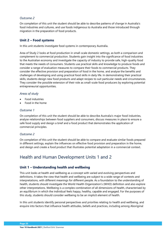# *Outcome 2*

On completion of this unit the student should be able to describe patterns of change in Australia's food industries and cultures, and use foods indigenous to Australia and those introduced through migration in the preparation of food products.

# **Unit 2 – Food systems**

In this unit students investigate food systems in contemporary Australia.

Area of Study 2 looks at food production in small-scale domestic settings, as both a comparison and complement to commercial production. Students gain insight into the significance of food industries to the Australian economy and investigate the capacity of industry to provide safe, high-quality food that meets the needs of consumers. Students use practical skills and knowledge to produce foods and consider a range of evaluation measures to compare their foods to commercial products. They consider the effective provision and preparation of food in the home, and analyse the benefits and challenges of developing and using practical food skills in daily life. In demonstrating their practical skills, students design new food products and adapt recipes to suit particular needs and circumstances. They consider the possible extension of their role as small-scale food producers by exploring potential entrepreneurial opportunities.

## *Areas of study*

- Food industries
- Food in the home

## *Outcome 1*

On completion of this unit the student should be able to describe Australia's major food industries, analyse relationships between food suppliers and consumers, discuss measures in place to ensure a safe food supply and design a brief and a food product that demonstrates the application of commercial principles.

# *Outcome 2*

On completion of this unit the student should be able to compare and evaluate similar foods prepared in different settings, explain the influences on effective food provision and preparation in the home, and design and create a food product that illustrates potential adaptation in a commercial context.

# <span id="page-27-0"></span>Health and Human Development Units 1 and 2

# **Unit 1 – Understanding health and wellbeing**

This unit looks at health and wellbeing as a concept with varied and evolving perspectives and definitions. It takes the view that health and wellbeing are subject to a wide range of contexts and interpretations, with different meanings for different people. As a foundation to the understanding of health, students should investigate the World Health Organization's (WHO) definition and also explore other interpretations. Wellbeing is a complex combination of all dimensions of health, characterised by an equilibrium in which the individual feels happy, healthy, capable and engaged. For the purposes of this study, students should consider wellbeing to be an implicit element of health.

In this unit students identify personal perspectives and priorities relating to health and wellbeing, and enquire into factors that influence health attitudes, beliefs and practices, including among Aboriginal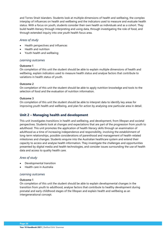and Torres Strait Islanders. Students look at multiple dimensions of health and wellbeing, the complex interplay of influences on health and wellbeing and the indicators used to measure and evaluate health status. With a focus on youth, students consider their own health as individuals and as a cohort. They build health literacy through interpreting and using data, through investigating the role of food, and through extended inquiry into one youth health focus area.

#### *Areas of study*

- Health perspectives and influences
- Health and nutrition
- Youth health and wellbeing

## *Learning outcomes*

#### **Outcome 1**

On completion of this unit the student should be able to explain multiple dimensions of health and wellbeing, explain indicators used to measure health status and analyse factors that contribute to variations in health status of youth.

## **Outcome 2**

On completion of this unit the student should be able to apply nutrition knowledge and tools to the selection of food and the evaluation of nutrition information.

#### **Outcome 3**

On completion of this unit the student should be able to interpret data to identify key areas for improving youth health and wellbeing, and plan for action by analysing one particular area in detail.

# **Unit 2 – Managing health and development**

This unit investigates transitions in health and wellbeing, and development, from lifespan and societal perspectives. Students look at changes and expectations that are part of the progression from youth to adulthood. This unit promotes the application of health literacy skills through an examination of adulthood as a time of increasing independence and responsibility, involving the establishment of long-term relationships, possible considerations of parenthood and management of health-related milestones and changes. Students enquire into the Australian healthcare system and extend their capacity to access and analyse health information. They investigate the challenges and opportunities presented by digital media and health technologies, and consider issues surrounding the use of health data and access to quality health care.

# *Area of study*

- Developmental transition
- Health care in Australia

#### *Learning outcomes*

#### **Outcome 1**

On completion of this unit the student should be able to explain developmental changes in the transition from youth to adulthood, analyse factors that contribute to healthy development during prenatal and early childhood stages of the lifespan and explain health and wellbeing as an intergenerational concept.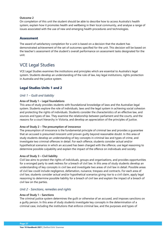## **Outcome 2**

On completion of this unit the student should be able to describe how to access Australia's health system, explain how it promotes health and wellbeing in their local community, and analyse a range of issues associated with the use of new and emerging health procedures and technologies.

# **Assessment**

The award of satisfactory completion for a unit is based on a decision that the student has demonstrated achievement of the set of outcomes specified for the unit. This decision will be based on the teacher's assessment of the student's overall performance on assessment tasks designated for the unit.

# <span id="page-29-0"></span>VCE Legal Studies

VCE Legal Studies examines the institutions and principles which are essential to Australia's legal system. Students develop an understanding of the rule of law, key legal institutions, rights protection in Australia and the justice system.

# **Legal Studies Units 1 and 2**

# *Unit 1 – Guilt and liability*

## **Area of Study 1 – Legal foundations**

This area of study provides students with foundational knowledge of laws and the Australian legal system. Students explore the role of individuals, laws and the legal system in achieving social cohesion and protecting the rights of individuals. Students consider the characteristics of an effective law, and sources and types of law. They examine the relationship between parliament and the courts, and the reasons for a court hierarchy in Victoria, and develop an appreciation of the principles of justice.

#### **Area of Study 2 – The presumption of innocence**

The presumption of innocence is the fundamental principle of criminal law and provides a guarantee that an accused is presumed innocent until proven guilty beyond reasonable doubt. In this area of study students develop an understanding of key concepts in criminal law and types of crime, and investigate two criminal offences in detail. For each offence, students consider actual and/or hypothetical scenarios in which an accused has been charged with the offence, use legal reasoning to determine possible culpability and explain the impact of the offence on individuals and society.

#### **Area of Study 3 – Civil liability**

Civil law aims to protect the rights of individuals, groups and organisations, and provides opportunities for a wronged party to seek redress for a breach of civil law. In this area of study students develop an understanding of key concepts in civil law and investigate two areas of civil law in detail. Possible areas of civil law could include negligence, defamation, nuisance, trespass and contracts. For each area of civil law, students consider actual and/or hypothetical scenarios giving rise to a civil claim, apply legal reasoning to determine possible liability for a breach of civil law and explain the impact of a breach of civil law on the parties.

# *Unit 2 - Sanctions, remedies and rights*

#### **Area of Study 1 – Sanctions**

The criminal justice system determines the guilt or otherwise of an accused, and imposes sanctions on a guilty person. In this area of study students investigate key concepts in the determination of a criminal case, including the institutions that enforce criminal law, and the purposes and types of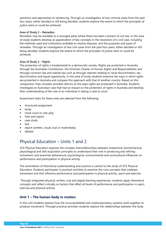sanctions and approaches to sentencing. Through an investigation of two criminal cases from the past four years, either decided or still being decided, students explore the extent to which the principles of justice were or could be achieved.

## **Area of Study 2 – Remedies**

Remedies may be available to a wronged party where there has been a breach of civil law. In this area of study students develop an appreciation of key concepts in the resolution of a civil case, including the methods used and institutions available to resolve disputes, and the purposes and types of remedies. Through an investigation of two civil cases from the past four years, either decided or still being decided, students explore the extent to which the principles of justice were or could be achieved.

## **Area of Study 3 – Rights**

The protection of rights is fundamental to a democratic society. Rights are protected in Australia through the Australian Constitution, the Victorian Charter of Human Rights and Responsibilities and through common law and statute law such as through statutes relating to racial discrimination, sex discrimination and equal opportunity. In this area of study students examine the ways in which rights are protected in Australia and compare this approach with that of another country. Based on this comparison, they consider possible reforms to the ways rights are protected in Australia. Students investigate an Australian case that had an impact on the protection of rights in Australia and develop their understanding of the role of an individual in taking a case to court.

Assessment tasks for these units are selected from the following:

- structured assignment
- essay
- mock court or role-play
- folio and report
- case study
- test
- report (written, visual, oral or multimedia)
- debate.

# <span id="page-30-0"></span>Physical Education – Units 1 and 2

VCE Physical Education explores the complex interrelationships between anatomical, biomechanical, physiological and skill acquisition principles to understand their role in producing and refining movement, and examines behavioural, psychological, environmental and sociocultural influences on performance and participation in physical activity.

The assimilation of theoretical understanding and practice is central to the study of VCE Physical Education. Students participate in practical activities to examine the core concepts that underpin movement and that influence performance and participation in physical activity, sport and exercise.

Through integrated physical, written, oral and digital learning experiences, students apply theoretical concepts and reflect critically on factors that affect all levels of performance and participation in sport, exercise and physical activity.

# **Unit 1 – The human body in motion**

In this unit students explore how the musculoskeletal and cardiorespiratory systems work together to produce movement. Through practical activities students explore the relationships between the body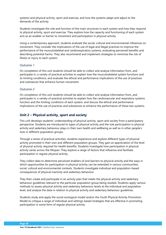systems and physical activity, sport and exercise, and how the systems adapt and adjust to the demands of the activity.

Students investigate the role and function of the main structures in each system and how they respond to physical activity, sport and exercise. They explore how the capacity and functioning of each system acts as an enabler or barrier to movement and participation in physical activity.

Using a contemporary approach, students evaluate the social, cultural and environmental influences on movement. They consider the implications of the use of legal and illegal practices to improve the performance of the musculoskeletal and cardiorespiratory systems, evaluating perceived benefits and describing potential harms. They also recommend and implement strategies to minimise the risk of illness or injury to each system.

## *Outcome 1*

On completion of this unit students should be able to collect and analyse information from, and participate in, a variety of practical activities to explain how the musculoskeletal system functions and its limiting conditions, and evaluate the ethical and performance implications of the use of practices and substances that enhance human movement.

## *Outcome 2*

On completion of this unit students should be able to collect and analyse information from, and participate in, a variety of practical activities to explain how the cardiovascular and respiratory systems function and the limiting conditions of each system, and discuss the ethical and performance implications of the use of practices and substances to enhance the performance of these two systems.

# **Unit 2 – Physical activity, sport and society**

This unit develops students' understanding of physical activity, sport and society from a participatory perspective. Students are introduced to types of physical activity and the role participation in physical activity and sedentary behaviour plays in their own health and wellbeing as well as in other people's lives in different population groups.

Through a series of practical activities, students experience and explore different types of physical activity promoted in their own and different population groups. They gain an appreciation of the level of physical activity required for health benefits. Students investigate how participation in physical activity varies across the lifespan. They explore a range of factors that influence and facilitate participation in regular physical activity.

They collect data to determine perceived enablers of and barriers to physical activity and the ways in which opportunities for participation in physical activity can be extended in various communities, social, cultural and environmental contexts. Students investigate individual and population-based consequences of physical inactivity and sedentary behaviour.

They then create and participate in an activity plan that meets the physical activity and sedentary behaviour guidelines relevant to the particular population group being studied. Students apply various methods to assess physical activity and sedentary behaviour levels at the individual and population level, and analyse the data in relation to physical activity and sedentary behaviour guidelines.

Students study and apply the social-ecological model and/or the Youth Physical Activity Promotion Model to critique a range of individual-and settings-based strategies that are effective in promoting participation in some form of regular physical activity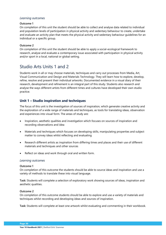## *Learning outcomes*

#### **Outcome 1**

On completion of this unit the student should be able to collect and analyse data related to individual and population levels of participation in physical activity and sedentary behaviour to create, undertake and evaluate an activity plan that meets the physical activity and sedentary behaviour guidelines for an individual or a specific group.

#### **Outcome 2**

On completion of this unit the student should be able to apply a social-ecological framework to research, analyse and evaluate a contemporary issue associated with participation in physical activity and/or sport in a local, national or global setting.

# <span id="page-32-0"></span>Studio Arts Units 1 and 2

Students work in all or may choose materials, techniques and carry out processes from Media, Art, Visual Communication and Design and Materials Technology. They will learn how to explore, develop, refine, resolve and present their individual artworks. Documented evidence in a visual diary of their research, development and refinement is an integral part of this study. Students also research and analyse the ways different artists from different times and cultures have developed their own studio practice.

# **Unit 1 – Studio inspiration and techniques**

The focus of this unit is the investigation of sources of inspiration, which generate creative activity and the exploration of a wide range of materials and techniques, as tools for translating ideas, observation and experiences into visual form. The areas of study are:

- Inspiration, aesthetic qualities and investigation which focuses on sources of inspiration and recording observations and idea
- Materials and techniques which focuses on developing skills, manipulating properties and subject matter to convey ideas whilst reflecting and evaluating
- Research different artists as inspiration from differing times and places and their use of different materials and techniques and other sources
- Reflect on ideas and work through oral and written form.

#### *Learning outcomes*

#### **Outcome 1**

On completion of this outcome the students should be able to source ideas and inspiration and use a variety of methods to translate these into visual language.

**Task:** Students will complete a selection of exploratory work showing sources of ideas, inspiration and aesthetic qualities.

#### **Outcome 2**

On completion of this outcome students should be able to explore and use a variety of materials and techniques whilst recording and developing ideas and sources of inspiration.

**Task:** Students will complete at least one artwork whilst evaluating and commenting in their workbook.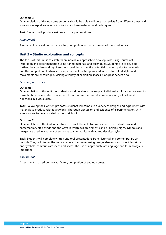#### **Outcome 3**

On completion of this outcome students should be able to discuss how artists from different times and locations interpret sources of inspiration and use materials and techniques.

**Task:** Students will produce written and oral presentations.

#### *Assessment*

Assessment is based on the satisfactory completion and achievement of three outcomes.

# **Unit 2 – Studio exploration and concepts**

The focus of this unit is to establish an individual approach to develop skills using sources of inspiration and experimentation using varied materials and techniques. Students are to develop further, their understanding of aesthetic qualities to identify potential solutions prior to the making and the completion of artworks. Comparisons of contemporary art with historical art styles and movements are encouraged. Visiting a variety of exhibition spaces is of great benefit also.

#### *Learning outcomes*

## **Outcome 1**

On completion of this unit the student should be able to develop an individual exploration proposal to form the basis of a studio process, and from this produce and document a variety of potential directions in a visual diary.

**Task:** Following their written proposal, students will complete a variety of designs and experiment with materials to produce related art works. Thorough discussion and evidence of experimentation, with solutions are to be annotated in the work book.

#### **Outcome 2**

On completion of this Outcome, students should be able to examine and discuss historical and contemporary art periods and the ways in which design elements and principles, signs, symbols and images are used in a variety of art works to communicate ideas and develop styles.

**Task:** Students will complete written and oral presentations from historical and contemporary art periods. They will discuss the ways a variety of artworks using design elements and principles, signs and symbols, communicate ideas and styles. The use of appropriate art language and terminology is important.

#### *Assessment*

Assessment is based on the satisfactory completion of two outcomes.